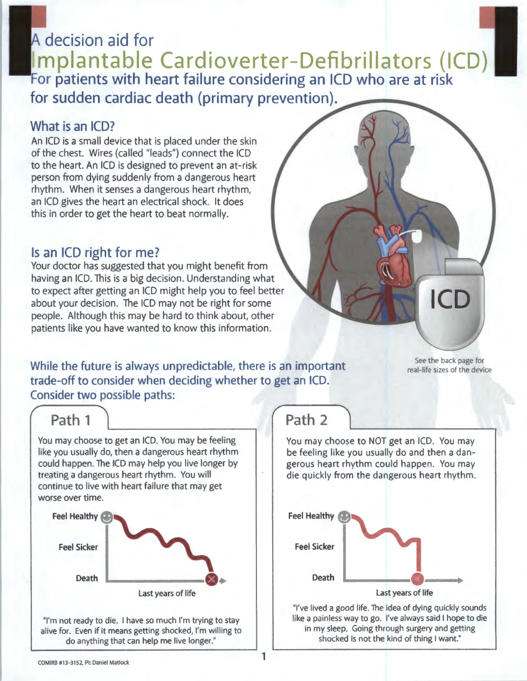# A decision aid for Implantable Cardioverter-Defibrillators (ICD) For patients with heart failure considering an ICD who are at risk for sudden cardiac death (primary prevention).

### What is an ICD?

An ICD is a small device that is placed under the skin of the chest. Wires (called "leads") connect the ICD to the heart. An ICD is designed to prevent an at-risk person from dying suddenly from a dangerous heart rhythm. When it senses a dangerous heart rhythm, an ICD gives the heart an electrical shock. It does this in order to get the heart to beat normally.

### Is an ICD right for me?

Your doctor has suggested that you might benefit from having an ICD. This is a big decision. Understanding what to expect after getting an ICD might help you to feel better about your decision. The ICD may not be right for some people. Although this may be hard to think about, other patients like you have wanted to know this information.

While the future is always unpredictable, there is an important trade-off to consider when deciding whether to get an ICD. Consider two possible paths:

See the back page for real-life sizes of the device

ICD

### Path 1

You may choose to get an ICD. You may be feeling like you usually do, then a dangerous heart rhythm could happen. The ICD may help you live longer by treating a dangerous heart rhythm. You will continue to live with heart failure that may get worse over time.



"I'm not ready to die. I have so much I'm trying to stay alive for. Even if it means getting shocked, I'm willing to do anything that can help me live longer."

# Path 2

You may choose to NOT get an ICD. You may be feeling like you usually do and then a dangerous heart rhythm could happen. You may die quickly from the dangerous heart rhythm.



''I've lived a good life. The idea of dying quickly sounds like a painless way to go. I've always said I hope to die in my sleep. Going through surgery and getting shocked is not the kind of thing I want."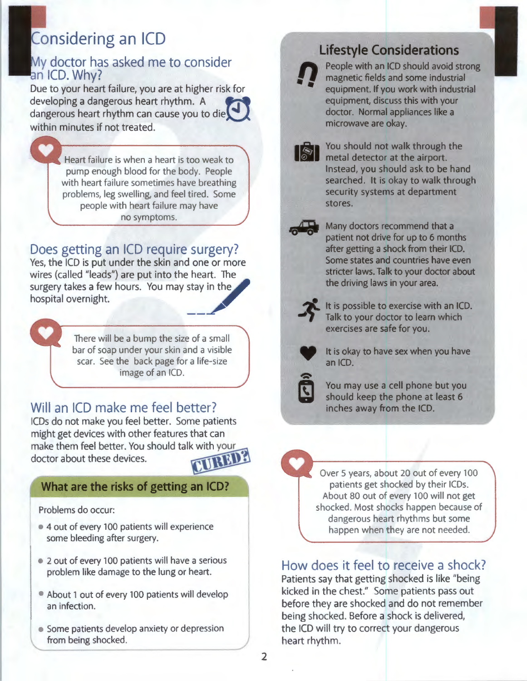# Considering an ICD

### My doctor has asked me to consider an ICD. Why?

Due to your heart failure, you are at higher risk for developing a dangerous heart rhythm. A dangerous heart rhythm can cause you to die~ within minutes if not treated.

> Heart failure is when a heart is too weak to pump enough blood for the body. People with heart failure sometimes have breathing problems, leg swelling, and feel tired. Some people with heart failure may have no symptoms.

### Does getting an ICD require surgery?

Yes, the ICD is put under the skin and one or more wires (called "leads") are put into the heart. The surgery takes a few hours. You may stay in the hospital overnight. --~



There will be a bump the size of a small bar of soap under your skin and a visible scar. See the back page for a life-size image of an ICD.

### Will an ICD make me feel better?

ICDs do not make you feel better. Some patients might get devices with other features that can make them feel better. You should talk with your doctor about these devices.

### **What are the risks of getting an ICD?**

Problems do occur:

- 4 out of every 100 patients will experience some bleeding after surgery.
- 2 out of every 100 patients will have a serious problem like damage to the lung or heart.
- About 1 out of every 100 patients will develop an infection.
- Some patients develop anxiety or depression from being shocked.

**Lifestyle Considerations**<br> **n People with an ICD should avoid st**<br> **nagnetic fields and some industria**<br> **equipment.** If you work with industria People with an ICD should avoid strong magnetic fields and some industrial equipment. If you work with industrial equipment, discuss this with your doctor. Normal appliances like a microwave are okay.

> You should not walk through the metal detector at the airport. Instead, you should ask to be hand searched. It is okay to walk through security systems at department stores.

 $\sqrt{2}$ 

Many doctors recommend that a patient not drive for up to 6 months after getting a shock from their ICD. Some states and countries have even stricter laws. Talk to your doctor about the driving laws in your area.



It is possible to exercise with an ICD. Talk to your doctor to learn which exercises are safe for you.



It is okay to have sex when you have an ICD.



You may use a cell phone but you should keep the phone at least 6 inches away from the ICD.

Over 5 years, about 20 out of every 100 patients get shocked by their ICDs. About 80 out of every 100 will not get shocked. Most shocks happen because of dangerous heart rhythms but some happen when they are not needed.

### How does it feel to receive a shock?

Patients say that getting shocked is like "being kicked in the chest." Some patients pass out before they are shocked and do not remember being shocked. Before a shock is delivered, the ICD will try to correct your dangerous heart rhythm.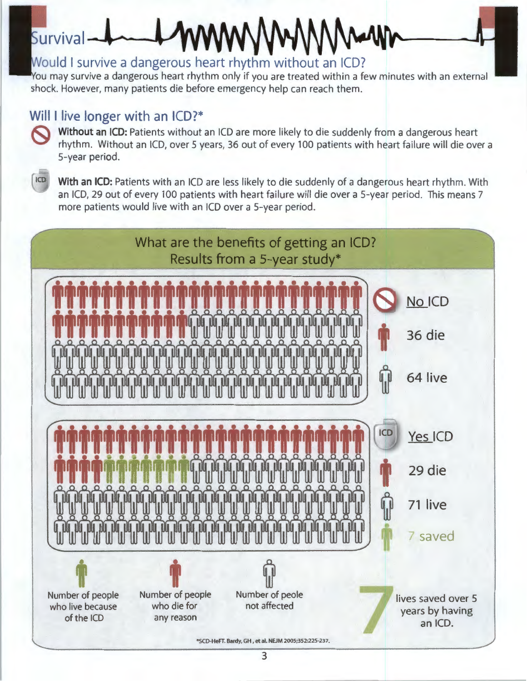# Survival-

### Would I survive a dangerous heart rhythm without an ICD?

You may survive a dangerous heart rhythm only if you are treated within a few minutes with an external shock. However, many patients die before emergency help can reach them.

Will I live longer with an ICD?\*<br>So Without an ICD: Patients without an ICD are more likely to die suddenly from a dangerous heart rhythm. Without an ICD, over 5 years, 36 out of every 100 patients with heart failure will die over a 5-year period.



With an ICD: Patients with an ICD are less likely to die suddenly of a dangerous heart rhythm. With an ICD, 29 out of every 100 patients with heart failure will die over a 5-year period. This means 7 more patients would live with an ICD over a 5-year period.

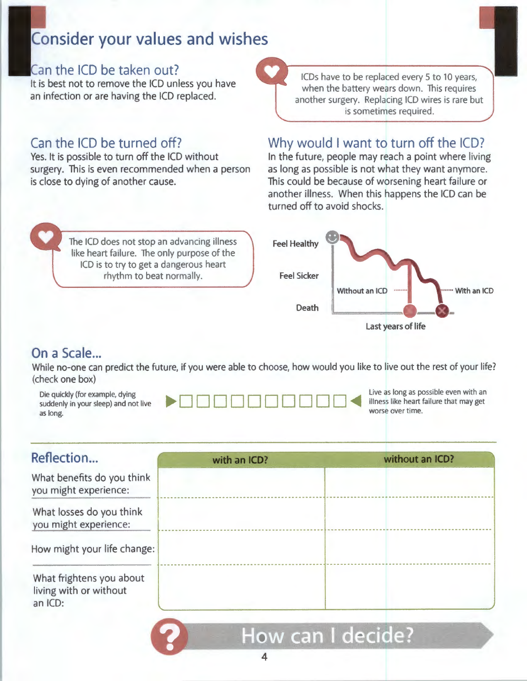# **Consider your values and wishes**

### Can the ICD be taken out?

It is best not to remove the ICD unless you have an infection or are having the ICD replaced.

### Can the ICD be turned off?

Yes. It is possible to turn off the ICD without surgery. This is even recommended when a person is close to dying of another cause.

> The ICD does not stop an advancing illness like heart failure. The only purpose of the ICD is to try to get a dangerous heart rhythm to beat normally.

ICDs have to be replaced every 5 to 10 years, when the battery wears down. This requires another surgery. Replacing ICD wires is rare but is sometimes required.

### Why would I want to turn off the ICD?

In the future, people may reach a point where living as long as possible is not what they want anymore. This could be because of worsening heart failure or another illness. When this happens the ICD can be turned off to avoid shocks.



### On a Scale...

While no-one can predict the future, if you were able to choose, how would you like to live out the rest of your life? (check one box)

| Die quickly (for example, dying<br>suddenly in your sleep) and not live<br>as long. |  | Live as long as po<br>worse over time. |
|-------------------------------------------------------------------------------------|--|----------------------------------------|
|-------------------------------------------------------------------------------------|--|----------------------------------------|

ssible even with an ailure that may get

| Reflection                                                    | with an ICD? | without an ICD? |
|---------------------------------------------------------------|--------------|-----------------|
| What benefits do you think<br>you might experience:           |              |                 |
| What losses do you think<br>you might experience:             |              |                 |
| How might your life change:                                   |              |                 |
| What frightens you about<br>living with or without<br>an ICD: |              |                 |

### 4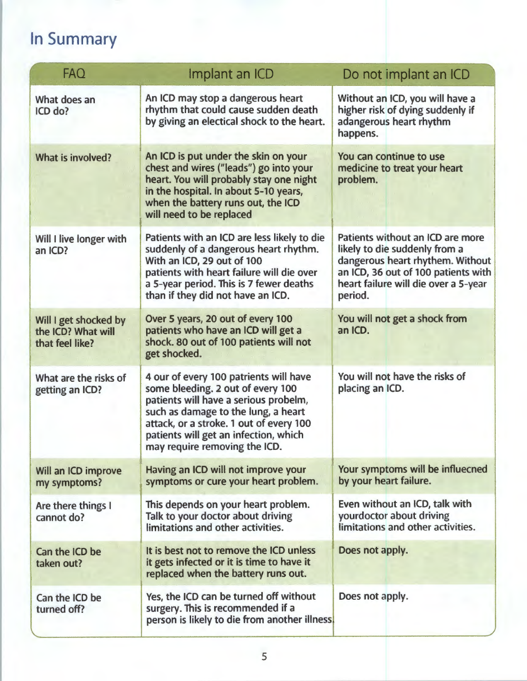# In Summary

| <b>FAQ</b>                                                     | Implant an ICD                                                                                                                                                                                                                                                                   | Do not implant an ICD                                                                                                                                                                           |
|----------------------------------------------------------------|----------------------------------------------------------------------------------------------------------------------------------------------------------------------------------------------------------------------------------------------------------------------------------|-------------------------------------------------------------------------------------------------------------------------------------------------------------------------------------------------|
| What does an<br>ICD do?                                        | An ICD may stop a dangerous heart<br>rhythm that could cause sudden death<br>by giving an electical shock to the heart.                                                                                                                                                          | Without an ICD, you will have a<br>higher risk of dying suddenly if<br>adangerous heart rhythm<br>happens.                                                                                      |
| What is involved?                                              | An ICD is put under the skin on your<br>chest and wires ("leads") go into your<br>heart. You will probably stay one night<br>in the hospital. In about 5-10 years,<br>when the battery runs out, the ICD<br>will need to be replaced                                             | You can continue to use<br>medicine to treat your heart<br>problem.                                                                                                                             |
| Will I live longer with<br>an ICD?                             | Patients with an ICD are less likely to die<br>suddenly of a dangerous heart rhythm.<br>With an ICD, 29 out of 100<br>patients with heart failure will die over<br>a 5-year period. This is 7 fewer deaths<br>than if they did not have an ICD.                                  | Patients without an ICD are more<br>likely to die suddenly from a<br>dangerous heart rhythem. Without<br>an ICD, 36 out of 100 patients with<br>heart failure will die over a 5-year<br>period. |
| Will I get shocked by<br>the ICD? What will<br>that feel like? | Over 5 years, 20 out of every 100<br>patients who have an ICD will get a<br>shock. 80 out of 100 patients will not<br>get shocked.                                                                                                                                               | You will not get a shock from<br>an ICD.                                                                                                                                                        |
| What are the risks of<br>getting an ICD?                       | 4 our of every 100 patrients will have<br>some bleeding. 2 out of every 100<br>patients will have a serious probelm,<br>such as damage to the lung, a heart<br>attack, or a stroke. 1 out of every 100<br>patients will get an infection, which<br>may require removing the ICD. | You will not have the risks of<br>placing an ICD.                                                                                                                                               |
| Will an ICD improve<br>my symptoms?                            | Having an ICD will not improve your<br>symptoms or cure your heart problem.                                                                                                                                                                                                      | Your symptoms will be influecned<br>by your heart failure.                                                                                                                                      |
| Are there things I<br>cannot do?                               | This depends on your heart problem.<br>Talk to your doctor about driving<br>limitations and other activities.                                                                                                                                                                    | Even without an ICD, talk with<br>yourdoctor about driving<br>limitations and other activities.                                                                                                 |
| Can the ICD be<br>taken out?                                   | It is best not to remove the ICD unless<br>it gets infected or it is time to have it<br>replaced when the battery runs out.                                                                                                                                                      | Does not apply.                                                                                                                                                                                 |
| Can the ICD be<br>turned off?                                  | Yes, the ICD can be turned off without<br>surgery. This is recommended if a<br>person is likely to die from another illness.                                                                                                                                                     | Does not apply.                                                                                                                                                                                 |